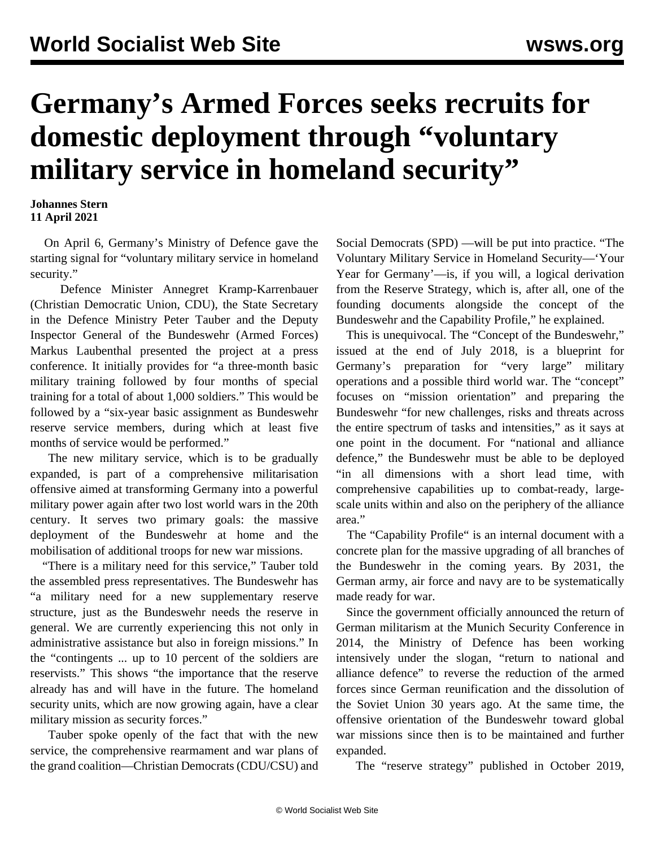## **Germany's Armed Forces seeks recruits for domestic deployment through "voluntary military service in homeland security"**

## **Johannes Stern 11 April 2021**

 On April 6, Germany's Ministry of Defence gave the starting signal for "voluntary military service in homeland security."

 Defence Minister Annegret Kramp-Karrenbauer (Christian Democratic Union, CDU), the State Secretary in the Defence Ministry Peter Tauber and the Deputy Inspector General of the Bundeswehr (Armed Forces) Markus Laubenthal presented the project at a press conference. It initially provides for "a three-month basic military training followed by four months of special training for a total of about 1,000 soldiers." This would be followed by a "six-year basic assignment as Bundeswehr reserve service members, during which at least five months of service would be performed."

 The new military service, which is to be gradually expanded, is part of a comprehensive militarisation offensive aimed at transforming Germany into a powerful military power again after two lost world wars in the 20th century. It serves two primary goals: the massive deployment of the Bundeswehr at home and the mobilisation of additional troops for new war missions.

 "There is a military need for this service," Tauber told the assembled press representatives. The Bundeswehr has "a military need for a new supplementary reserve structure, just as the Bundeswehr needs the reserve in general. We are currently experiencing this not only in administrative assistance but also in foreign missions." In the "contingents ... up to 10 percent of the soldiers are reservists." This shows "the importance that the reserve already has and will have in the future. The homeland security units, which are now growing again, have a clear military mission as security forces."

 Tauber spoke openly of the fact that with the new service, the comprehensive rearmament and war plans of the grand coalition—Christian Democrats (CDU/CSU) and Social Democrats (SPD) —will be put into practice. "The Voluntary Military Service in Homeland Security—'Your Year for Germany'—is, if you will, a logical derivation from the Reserve Strategy, which is, after all, one of the founding documents alongside the concept of the Bundeswehr and the Capability Profile," he explained.

 This is unequivocal. The "[Concept of the Bundeswehr,](/en/articles/2018/08/28/germ-a28.html)" issued at the end of July 2018, is a blueprint for Germany's preparation for "very large" military operations and a possible third world war. The "concept" focuses on "mission orientation" and preparing the Bundeswehr "for new challenges, risks and threats across the entire spectrum of tasks and intensities," as it says at one point in the document. For "national and alliance defence," the Bundeswehr must be able to be deployed "in all dimensions with a short lead time, with comprehensive capabilities up to combat-ready, largescale units within and also on the periphery of the alliance area."

 The "[Capability Profile"](/en/articles/2018/09/10/germ-s10.html) is an internal document with a concrete plan for the massive upgrading of all branches of the Bundeswehr in the coming years. By 2031, the German army, air force and navy are to be systematically made ready for war.

 Since the government officially announced the return of German militarism at the Munich Security Conference in 2014, the Ministry of Defence has been working intensively under the slogan, "return to national and alliance defence" to reverse the reduction of the armed forces since German reunification and the dissolution of the Soviet Union 30 years ago. At the same time, the offensive orientation of the Bundeswehr toward global war missions since then is to be maintained and further expanded.

The "reserve strategy" published in October 2019,